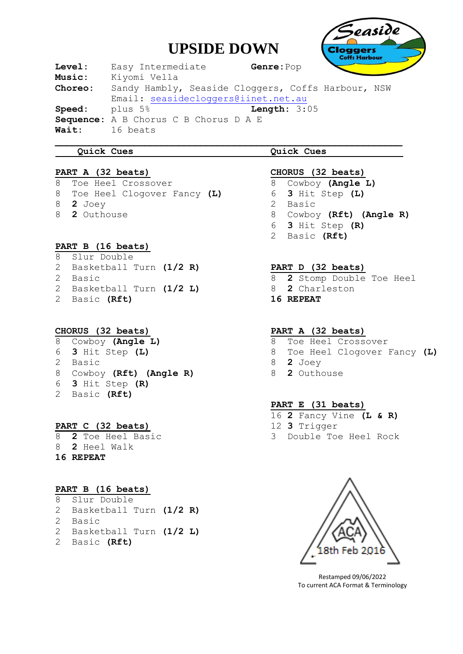# **UPSIDE DOWN**



**Level:** Easy Intermediate **Genre:**Pop **Music:** Kiyomi Vella **Choreo:** Sandy Hambly, Seaside Cloggers, Coffs Harbour, NSW Email: [seasidecloggers@iinet.net.au](mailto:seasidecloggers@iinet.net.au) **Speed:** plus 5% **Length:** 3:05 **Sequence:** A B Chorus C B Chorus D A E **Wait:** 16 beats

#### **Quick Cues**

#### **PART A (32 beats)**

8Toe Heel Crossover 8 Toe Heel Clogover Fancy **(L)** 8 **2** Joey 8 **2** Outhouse

#### **PART B (16 beats)**

8 Slur Double 2 Basketball Turn **(1/2 R)** 2 Basic 2 Basketball Turn **(1/2 L)** 2 Basic **(Rft)**

## **CHORUS (32 beats)**

Cowboy **(Angle L) 3** Hit Step **(L)** 2 Basic Cowboy **(Rft) (Angle R) 3** Hit Step **(R)** 2 Basic **(Rft)**

## **PART C (32 beats)**

8 **2** Toe Heel Basic 8 **2** Heel Walk **16 REPEAT**

## **PART B (16 beats)**

| 8 Slur Double             |  |
|---------------------------|--|
| 2 Basketball Turn (1/2 R) |  |
| 2 Basic                   |  |
| 2 Basketball Turn (1/2 L) |  |
| 2 Basic (Rft)             |  |

## **Quick Cues**

#### **CHORUS (32 beats)**

Cowboy **(Angle L) 3** Hit Step **(L)** 2 Basic Cowboy **(Rft) (Angle R) 3** Hit Step **(R)** 2 Basic **(Rft)**

## **PART D (32 beats)**

- 8 **2** Stomp Double Toe Heel
- 8 **2** Charleston
- **16 REPEAT**

#### **PART A (32 beats)**

- 8 Toe Heel Crossover
- 8 Toe Heel Clogover Fancy **(L)**
- 8 **2** Joey
- 8 **2** Outhouse

## **PART E (31 beats)**

16 **2** Fancy Vine **(L & R)** 12 **3** Trigger 3 Double Toe Heel Rock



Restamped 09/06/2022 To current ACA Format & Terminology